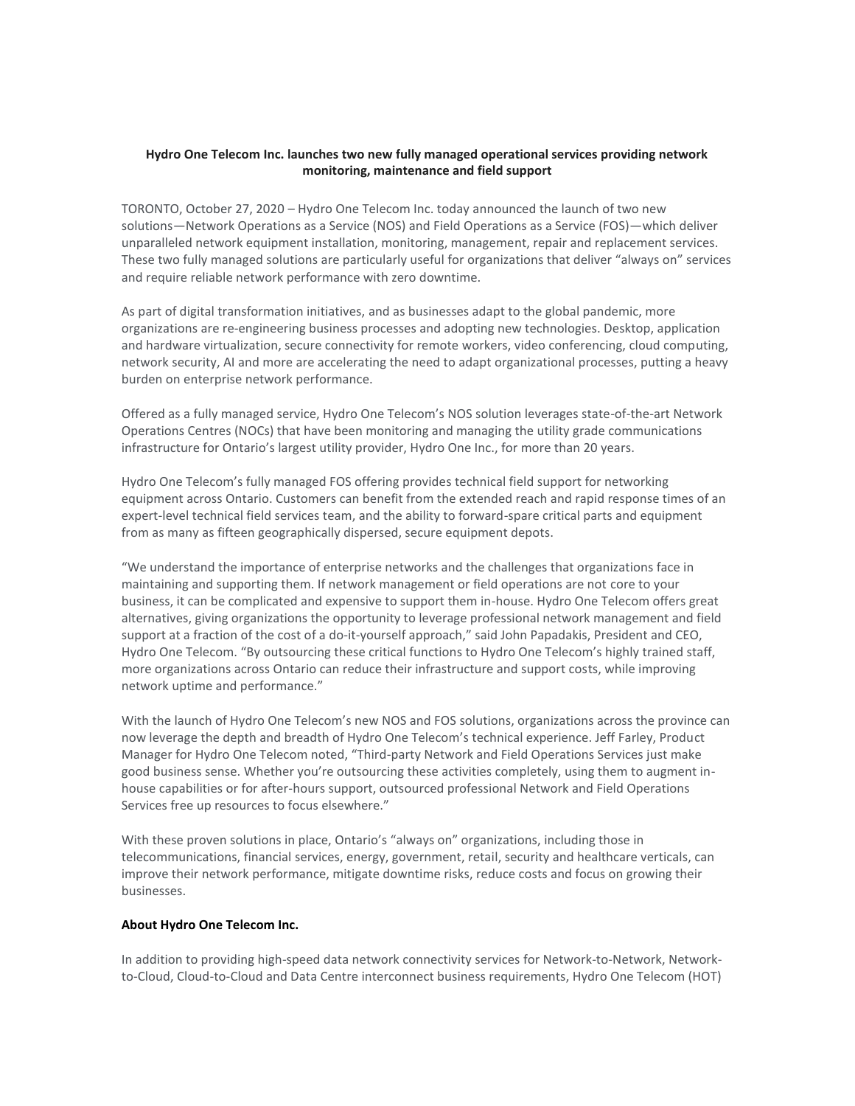## **Hydro One Telecom Inc. launches two new fully managed operational services providing network monitoring, maintenance and field support**

TORONTO, October 27, 2020 – Hydro One Telecom Inc. today announced the launch of two new solutions—Network Operations as a Service (NOS) and Field Operations as a Service (FOS)—which deliver unparalleled network equipment installation, monitoring, management, repair and replacement services. These two fully managed solutions are particularly useful for organizations that deliver "always on" services and require reliable network performance with zero downtime.

As part of digital transformation initiatives, and as businesses adapt to the global pandemic, more organizations are re-engineering business processes and adopting new technologies. Desktop, application and hardware virtualization, secure connectivity for remote workers, video conferencing, cloud computing, network security, AI and more are accelerating the need to adapt organizational processes, putting a heavy burden on enterprise network performance.

Offered as a fully managed service, Hydro One Telecom's NOS solution leverages state-of-the-art Network Operations Centres (NOCs) that have been monitoring and managing the utility grade communications infrastructure for Ontario's largest utility provider, Hydro One Inc., for more than 20 years.

Hydro One Telecom's fully managed FOS offering provides technical field support for networking equipment across Ontario. Customers can benefit from the extended reach and rapid response times of an expert-level technical field services team, and the ability to forward-spare critical parts and equipment from as many as fifteen geographically dispersed, secure equipment depots.

"We understand the importance of enterprise networks and the challenges that organizations face in maintaining and supporting them. If network management or field operations are not core to your business, it can be complicated and expensive to support them in-house. Hydro One Telecom offers great alternatives, giving organizations the opportunity to leverage professional network management and field support at a fraction of the cost of a do-it-yourself approach," said John Papadakis, President and CEO, Hydro One Telecom. "By outsourcing these critical functions to Hydro One Telecom's highly trained staff, more organizations across Ontario can reduce their infrastructure and support costs, while improving network uptime and performance."

With the launch of Hydro One Telecom's new NOS and FOS solutions, organizations across the province can now leverage the depth and breadth of Hydro One Telecom's technical experience. Jeff Farley, Product Manager for Hydro One Telecom noted, "Third-party Network and Field Operations Services just make good business sense. Whether you're outsourcing these activities completely, using them to augment inhouse capabilities or for after-hours support, outsourced professional Network and Field Operations Services free up resources to focus elsewhere."

With these proven solutions in place, Ontario's "always on" organizations, including those in telecommunications, financial services, energy, government, retail, security and healthcare verticals, can improve their network performance, mitigate downtime risks, reduce costs and focus on growing their businesses.

## **About Hydro One Telecom Inc.**

In addition to providing high-speed data network connectivity services for Network-to-Network, Networkto-Cloud, Cloud-to-Cloud and Data Centre interconnect business requirements, Hydro One Telecom (HOT)